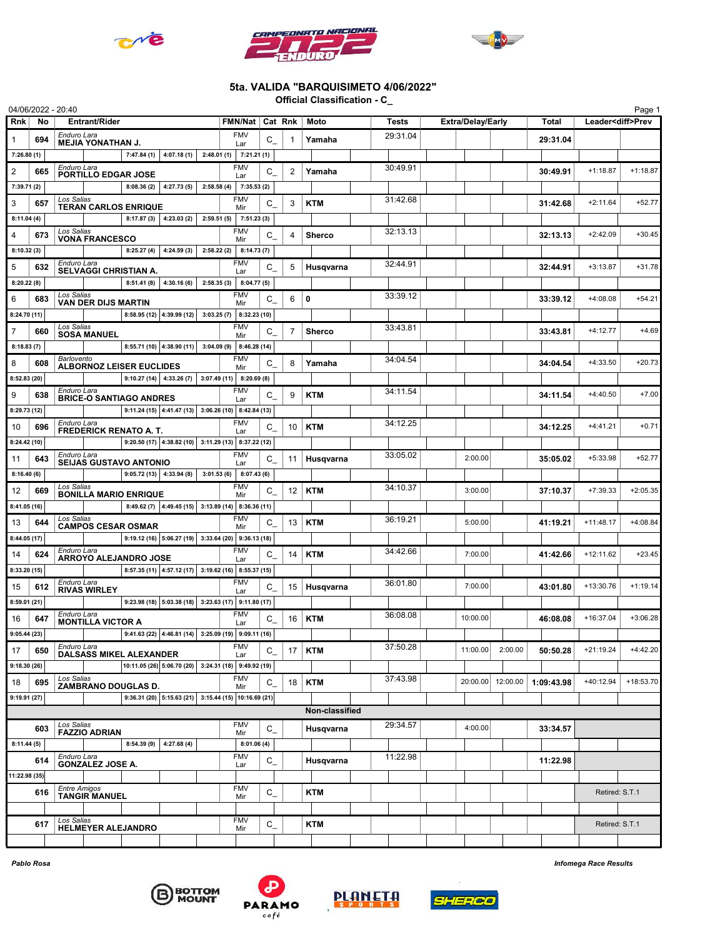





## 5ta. VALIDA "BARQUISIMETO 4/06/2022"

Official Classification - C\_

|                                               |                                                                                                  | 04/06/2022 - 20:40                                               |                                             |                                 |                                                       |                         |                           |                  |                |                |          |          |                          |          |                   |            |                          | Page 1      |
|-----------------------------------------------|--------------------------------------------------------------------------------------------------|------------------------------------------------------------------|---------------------------------------------|---------------------------------|-------------------------------------------------------|-------------------------|---------------------------|------------------|----------------|----------------|----------|----------|--------------------------|----------|-------------------|------------|--------------------------|-------------|
| Rnk                                           | No                                                                                               |                                                                  | <b>Entrant/Rider</b>                        |                                 |                                                       |                         | FMN/Nat   Cat Rnk         |                  |                | Moto           |          | Tests    | <b>Extra/Delay/Early</b> |          | Total             |            | Leader <diff>Prev</diff> |             |
|                                               | 694                                                                                              |                                                                  | Enduro Lara<br><b>MEJIA YONATHAN J.</b>     |                                 |                                                       |                         | <b>FMV</b><br>Lar         | $C_{-}$          |                | Yamaha         |          | 29:31.04 |                          |          |                   | 29:31.04   |                          |             |
| 7:26.80(1)                                    |                                                                                                  | 4:07.18(1)<br>7:47.84(1)                                         |                                             |                                 |                                                       | $2:48.01(1)$ 7:21.21(1) |                           |                  |                |                |          |          |                          |          |                   |            |                          |             |
| 2                                             | 665                                                                                              | Enduro Lara                                                      | PORTILLO EDGAR JOSE                         |                                 |                                                       |                         | <b>FMV</b><br>Lar         | C                | $\overline{2}$ | Yamaha         |          | 30:49.91 |                          |          |                   | 30:49.91   | $+1:18.87$               | $+1:18.87$  |
| 7:39.71(2)                                    |                                                                                                  |                                                                  |                                             | 8:08.36(2)                      | 4:27.73(5)                                            |                         | $2:58.58(4)$ 7:35.53(2)   |                  |                |                |          |          |                          |          |                   |            |                          |             |
| 3                                             | 657                                                                                              | Los Salias                                                       |                                             | <b>TERAN CARLOS ENRIQUE</b>     |                                                       |                         | <b>FMV</b><br>Mir         | $C_{-}$          | 3              | <b>KTM</b>     |          | 31:42.68 |                          |          |                   | 31:42.68   | $+2:11.64$               | $+52.77$    |
| 8:11.04(4)                                    |                                                                                                  |                                                                  |                                             |                                 | $8:17.87(3)$ 4:23.03 (2)                              |                         | $2:59.51(5)$ 7:51.23(3)   |                  |                |                |          |          |                          |          |                   |            |                          |             |
| 4                                             | 673                                                                                              | Los Salias                                                       | <b>VONA FRANCESCO</b>                       |                                 |                                                       |                         | <b>FMV</b><br>Mir         | $C_{-}$          | $\overline{4}$ | <b>Sherco</b>  |          | 32:13.13 |                          |          |                   | 32:13.13   | $+2:42.09$               | $+30.45$    |
| 8:10.32(3)                                    |                                                                                                  |                                                                  |                                             | 8:25.27(4)                      | 4:24.59(3)                                            | 2:58.22(2)              | 8:14.73(7)                |                  |                |                |          |          |                          |          |                   |            |                          |             |
| 5                                             | 632                                                                                              | Enduro Lara                                                      |                                             |                                 |                                                       |                         | <b>FMV</b><br>Lar         | C                | 5              | Husqvarna      |          | 32:44.91 |                          |          |                   | 32:44.91   | $+3:13.87$               | $+31.78$    |
| 8:20.22(8)                                    |                                                                                                  | SELVAGGI CHRISTIAN A.<br>8:51.41(8)<br>4:30.16 (6)<br>2:58.35(3) |                                             |                                 | 8:04.77(5)                                            |                         |                           |                  |                |                |          |          |                          |          |                   |            |                          |             |
| 6                                             | 683                                                                                              | Los Salias                                                       | VAN DER DIJS MARTIN                         |                                 |                                                       |                         | <b>FMV</b><br>Mir         | C                | 6              | $\mathbf 0$    |          | 33:39.12 |                          |          |                   | 33:39.12   | $+4:08.08$               | $+54.21$    |
| 8:24.70 (11)                                  |                                                                                                  |                                                                  |                                             |                                 | $8:58.95(12)$ 4:39.99 (12)                            |                         | $3:03.25(7)$ 8:32.23 (10) |                  |                |                |          |          |                          |          |                   |            |                          |             |
| 7                                             | 660                                                                                              | Los Salias                                                       | <b>SOSA MANUEL</b>                          |                                 |                                                       |                         | <b>FMV</b><br>Mir         | $C_{-}$          | 7              | <b>Sherco</b>  |          | 33:43.81 |                          |          |                   | 33:43.81   | $+4:12.77$               | $+4.69$     |
| 8:18.83(7)                                    |                                                                                                  |                                                                  |                                             |                                 | $8:55.71(10)$ 4:38.90 (11)                            |                         | $3:04.09(9)$ 8:46.28 (14) |                  |                |                |          |          |                          |          |                   |            |                          |             |
| 8                                             | 608                                                                                              | Barlovento                                                       |                                             | <b>ALBORNOZ LEISER EUCLIDES</b> |                                                       |                         | <b>FMV</b><br>Mir         | C                | 8              | Yamaha         |          | 34:04.54 |                          |          |                   | 34:04.54   | $+4:33.50$               | $+20.73$    |
| 8:52.83 (20)                                  |                                                                                                  |                                                                  |                                             |                                 | $9:10.27(14)$ 4:33.26(7)                              |                         | $3:07.49(11)$ 8:20.69(8)  |                  |                |                |          |          |                          |          |                   |            |                          |             |
| 9                                             | 638                                                                                              | Enduro Lara                                                      |                                             | <b>BRICE-O SANTIAGO ANDRES</b>  |                                                       |                         | <b>FMV</b><br>Lar         | C                | 9              | <b>KTM</b>     |          | 34:11.54 |                          |          |                   | 34:11.54   | $+4:40.50$               | $+7.00$     |
| 8:29.73 (12)                                  |                                                                                                  |                                                                  |                                             |                                 | 9:11.24 (15) 4:41.47 (13) 3:06.26 (10) 8:42.84 (13)   |                         |                           |                  |                |                |          |          |                          |          |                   |            |                          |             |
| 10                                            | 696                                                                                              | Enduro Lara                                                      |                                             | <b>FREDERICK RENATO A. T.</b>   |                                                       |                         | <b>FMV</b><br>Lar         | C                | 10             | <b>KTM</b>     |          | 34:12.25 |                          |          |                   | 34:12.25   | $+4:41.21$               | $+0.71$     |
| 8:24.42(10)                                   |                                                                                                  |                                                                  |                                             |                                 | $9:20.50(17)$ 4:38.82 (10) 3:11.29 (13) 8:37.22 (12)  |                         |                           |                  |                |                |          |          |                          |          |                   |            |                          |             |
| 11                                            | 643                                                                                              | Enduro Lara                                                      |                                             | <b>SEIJAS GUSTAVO ANTONIO</b>   |                                                       |                         | <b>FMV</b><br>Lar         | $C_{-}$          | 11             | Husqvarna      |          | 33:05.02 |                          | 2:00.00  |                   | 35:05.02   | $+5:33.98$               | $+52.77$    |
| 8:16.40(6)                                    |                                                                                                  |                                                                  |                                             |                                 | $9:05.72(13)$ 4:33.94 (8)                             |                         | $3:01.53(6)$ 8:07.43(6)   |                  |                |                |          |          |                          |          |                   |            |                          |             |
| 12                                            | 669                                                                                              | Los Salias                                                       |                                             | <b>BONILLA MARIO ENRIQUE</b>    |                                                       |                         | <b>FMV</b><br>Mir         | C                | 12             | <b>KTM</b>     |          | 34:10.37 |                          | 3:00.00  |                   | 37:10.37   | $+7:39.33$               | $+2:05.35$  |
| 8:41.05 (16)                                  |                                                                                                  |                                                                  |                                             |                                 | $8:49.62(7)$ 4:49.45 (15) 3:13.89 (14) 8:36.36 (11)   |                         |                           |                  |                |                |          |          |                          |          |                   |            |                          |             |
| 13                                            | 644                                                                                              | Los Salias                                                       |                                             |                                 |                                                       |                         | <b>FMV</b><br>Mir         | C                | 13             | <b>KTM</b>     |          | 36:19.21 |                          | 5:00.00  |                   | 41:19.21   | $+11:48.17$              | $+4:08.84$  |
|                                               | <b>CAMPOS CESAR OSMAR</b><br>9:19.12 (16) 5:06.27 (19) 3:33.64 (20) 9:36.13 (18)<br>8:44.05 (17) |                                                                  |                                             |                                 |                                                       |                         |                           |                  |                |                |          |          |                          |          |                   |            |                          |             |
| 14                                            | 624                                                                                              | Enduro Lara                                                      |                                             | ARROYO ALEJANDRO JOSE           |                                                       |                         | <b>FMV</b><br>Lar         | C                | 14             | <b>KTM</b>     |          | 34:42.66 |                          | 7:00.00  |                   | 41:42.66   | $+12:11.62$              | $+23.45$    |
| 8:33.20 (15)                                  |                                                                                                  |                                                                  |                                             |                                 | $8:57.35(11)$ 4:57.12 (17) 3:19.62 (16) 8:55.37 (15)  |                         |                           |                  |                |                |          |          |                          |          |                   |            |                          |             |
| 15                                            | 612                                                                                              | Enduro Lara                                                      | <b>RIVAS WIRLEY</b>                         |                                 |                                                       |                         | <b>FMV</b><br>Lar         | $C_{-}$          | 15             | Husqvarna      |          | 36:01.80 |                          | 7:00.00  |                   | 43:01.80   | +13:30.76                | $+1:19.14$  |
|                                               | 9:23.98 (18) 5:03.38 (18) 3:23.63 (17) 9:11.80 (17)<br>8:59.01(21)                               |                                                                  |                                             |                                 |                                                       |                         |                           |                  |                |                |          |          |                          |          |                   |            |                          |             |
| 16                                            | 647                                                                                              | Enduro Lara                                                      | <b>MONTILLA VICTOR A</b>                    |                                 |                                                       |                         | FMV<br>Lar                | $C_{-}$          | 16             | <b>KTM</b>     |          | 36:08.08 |                          | 10:00.00 |                   | 46:08.08   | $+16:37.04$              | $+3:06.28$  |
| 9:05.44(23)                                   |                                                                                                  |                                                                  |                                             |                                 | 9:41.63 (22) 4:46.81 (14) 3:25.09 (19) 9:09.11 (16)   |                         |                           |                  |                |                |          |          |                          |          |                   |            |                          |             |
| 17                                            | 650                                                                                              | Enduro Lara                                                      |                                             | <b>DALSASS MIKEL ALEXANDER</b>  |                                                       |                         | <b>FMV</b><br>Lar         | $C_{-}$          | 17             | <b>KTM</b>     |          | 37:50.28 |                          | 11:00.00 | 2:00.00           | 50:50.28   | $+21:19.24$              | $+4:42.20$  |
| 9:18.30(26)                                   |                                                                                                  |                                                                  |                                             |                                 | 10:11.05 (26) 5:06.70 (20) 3:24.31 (18) 9:49.92 (19)  |                         |                           |                  |                |                |          |          |                          |          |                   |            |                          |             |
| 18                                            | 695                                                                                              | Los Salias                                                       |                                             | ZAMBRANO DOUGLAS D.             |                                                       |                         | <b>FMV</b><br>Mir         | $C_{-}$          | 18             | <b>KTM</b>     |          | 37:43.98 |                          |          | 20:00.00 12:00.00 | 1:09:43.98 | +40:12.94                | $+18:53.70$ |
| 9:19.91(27)                                   |                                                                                                  |                                                                  |                                             |                                 | $9:36.31(20)$ 5:15.63 (21) 3:15.44 (15) 10:16.69 (21) |                         |                           |                  |                |                |          |          |                          |          |                   |            |                          |             |
|                                               |                                                                                                  |                                                                  |                                             |                                 |                                                       |                         |                           |                  |                | Non-classified |          |          |                          |          |                   |            |                          |             |
|                                               | 603                                                                                              | Los Salias                                                       | <b>FAZZIO ADRIAN</b>                        |                                 |                                                       |                         | <b>FMV</b><br>Mir         | $C_{-}$          |                | Husqvarna      |          | 29:34.57 |                          | 4:00.00  |                   | 33:34.57   |                          |             |
| 8:11.44(5)                                    |                                                                                                  |                                                                  |                                             | 8:54.39(9)                      | 4:27.68(4)                                            |                         | 8:01.06(4)                |                  |                |                |          |          |                          |          |                   |            |                          |             |
| Enduro Lara<br>614<br><b>GONZALEZ JOSE A.</b> |                                                                                                  |                                                                  |                                             |                                 |                                                       | <b>FMV</b><br>Lar       | $C_{-}$                   |                  | Husqvarna      |                | 11:22.98 |          |                          |          | 11:22.98          |            |                          |             |
| 11:22.98 (35)                                 |                                                                                                  |                                                                  |                                             |                                 |                                                       |                         |                           |                  |                |                |          |          |                          |          |                   |            |                          |             |
|                                               | 616                                                                                              |                                                                  | <b>Entre Amigos</b><br><b>TANGIR MANUEL</b> |                                 |                                                       |                         | <b>FMV</b><br>Mir         | $C_{-}$          |                | <b>KTM</b>     |          |          |                          |          |                   |            | Retired: S.T.1           |             |
|                                               |                                                                                                  |                                                                  |                                             |                                 |                                                       |                         |                           |                  |                |                |          |          |                          |          |                   |            |                          |             |
|                                               | 617                                                                                              | Los Salias                                                       | <b>HELMEYER ALEJANDRO</b>                   |                                 |                                                       |                         | <b>FMV</b><br>Mir         | $\mathtt{C}_{-}$ |                | <b>KTM</b>     |          |          |                          |          |                   |            | Retired: S.T.1           |             |
|                                               |                                                                                                  |                                                                  |                                             |                                 |                                                       |                         |                           |                  |                |                |          |          |                          |          |                   |            |                          |             |







PLANETA

Pablo Rosa Infomega Race Results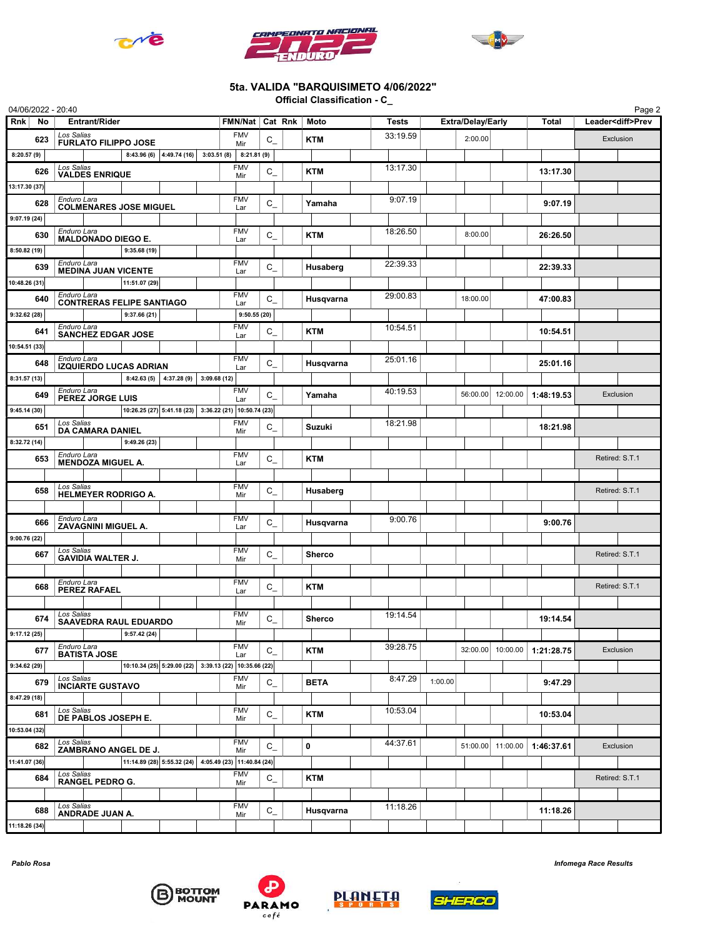





## 5ta. VALIDA "BARQUISIMETO 4/06/2022"

Official Classification - C\_

| 04/06/2022 - 20:40 |                                              |                                                       |                           |                   |                |             |          |                          |                   |              |                          | Page 2 |
|--------------------|----------------------------------------------|-------------------------------------------------------|---------------------------|-------------------|----------------|-------------|----------|--------------------------|-------------------|--------------|--------------------------|--------|
| Rnk<br><b>No</b>   | <b>Entrant/Rider</b>                         |                                                       |                           | FMN/Nat           | Cat Rnk        | Moto        | Tests    | <b>Extra/Delay/Early</b> |                   | <b>Total</b> | Leader <diff>Prev</diff> |        |
| 623                | Los Salias<br><b>FURLATO FILIPPO JOSE</b>    |                                                       |                           | <b>FMV</b><br>Mir | $C_{-}$        | KTM         | 33:19.59 | 2:00.00                  |                   |              | Exclusion                |        |
| 8:20.57(9)         |                                              | 8:43.96 (6) $ 4:49.74(16) $ 3:03.51 (8) 8:21.81 (9)   |                           |                   |                |             |          |                          |                   |              |                          |        |
| 626                | Los Salias<br><b>VALDES ENRIQUE</b>          |                                                       |                           | <b>FMV</b><br>Mir | $C_{-}$        | KTM         | 13:17.30 |                          |                   | 13:17.30     |                          |        |
| 13:17.30 (37)      |                                              |                                                       |                           |                   |                |             |          |                          |                   |              |                          |        |
| 628                | Enduro Lara                                  | <b>COLMENARES JOSE MIGUEL</b>                         |                           | <b>FMV</b><br>Lar | $C_{-}$        | Yamaha      | 9:07.19  |                          |                   | 9:07.19      |                          |        |
| 9:07.19(24)        |                                              |                                                       |                           |                   |                |             |          |                          |                   |              |                          |        |
| 630                | Enduro Lara<br><b>MALDONADO DIEGO E.</b>     |                                                       |                           | <b>FMV</b><br>Lar | $C_{-}$        | <b>KTM</b>  | 18:26.50 | 8:00.00                  |                   | 26:26.50     |                          |        |
| 8:50.82(19)        |                                              | 9:35.68 (19)                                          |                           |                   |                |             |          |                          |                   |              |                          |        |
| 639                | Enduro Lara<br><b>MEDINA JUAN VICENTE</b>    |                                                       |                           | <b>FMV</b><br>Lar | $C_{-}$        | Husaberg    | 22:39.33 |                          |                   | 22:39.33     |                          |        |
| 10:48.26 (31)      |                                              | 11:51.07 (29)                                         |                           |                   |                |             |          |                          |                   |              |                          |        |
| 640                | Enduro Lara                                  | <b>CONTRERAS FELIPE SANTIAGO</b>                      |                           | <b>FMV</b><br>Lar | $C_{-}$        | Husqvarna   | 29:00.83 | 18:00.00                 |                   | 47:00.83     |                          |        |
| 9:32.62(28)        |                                              | 9:37.66 (21)                                          |                           | 9:50.55(20)       |                |             |          |                          |                   |              |                          |        |
| 641                | Enduro Lara<br><b>SANCHEZ EDGAR JOSE</b>     |                                                       |                           | <b>FMV</b><br>Lar | $C_{-}$        | <b>KTM</b>  | 10:54.51 |                          |                   | 10:54.51     |                          |        |
| 10:54.51 (33)      |                                              |                                                       |                           |                   |                |             |          |                          |                   |              |                          |        |
| 648                | Enduro Lara<br><b>IZQUIERDO LUCAS ADRIAN</b> |                                                       |                           | <b>FMV</b><br>Lar | $C_{-}$        | Husqvarna   | 25:01.16 |                          |                   | 25:01.16     |                          |        |
| 8:31.57(13)        |                                              | 8:42.63(5)                                            | $4:37.28(9)$ 3:09.68 (12) |                   |                |             |          |                          |                   |              |                          |        |
| 649                | Enduro Lara<br>PEREZ JORGE LUIS              |                                                       |                           | <b>FMV</b><br>Lar | $C_{-}$        | Yamaha      | 40:19.53 | 56:00.00                 | 12:00.00          | 1:48:19.53   | Exclusion                |        |
| 9:45.14(30)        |                                              | 10:26.25 (27) 5:41.18 (23) 3:36.22 (21) 10:50.74 (23) |                           |                   |                |             |          |                          |                   |              |                          |        |
| 651                | Los Salias<br>DA CAMARA DANIEL               |                                                       |                           | <b>FMV</b><br>Mir | $\mathtt{C}_-$ | Suzuki      | 18:21.98 |                          |                   | 18:21.98     |                          |        |
| 8:32.72 (14)       |                                              | 9:49.26 (23)                                          |                           |                   |                |             |          |                          |                   |              |                          |        |
| 653                | Enduro Lara<br><b>MENDOZA MIGUEL A.</b>      |                                                       |                           | <b>FMV</b><br>Lar | $C_{-}$        | <b>KTM</b>  |          |                          |                   |              | Retired: S.T.1           |        |
|                    |                                              |                                                       |                           |                   |                |             |          |                          |                   |              |                          |        |
| 658                | Los Salias<br><b>HELMEYER RODRIGO A.</b>     |                                                       |                           | <b>FMV</b><br>Mir | $C_{-}$        | Husaberg    |          |                          |                   |              | Retired: S.T.1           |        |
|                    |                                              |                                                       |                           |                   |                |             |          |                          |                   |              |                          |        |
| 666                | Enduro Lara<br><b>ZAVAGNINI MIGUEL A.</b>    |                                                       |                           | <b>FMV</b><br>Lar | $C_{-}$        | Husqvarna   | 9:00.76  |                          |                   | 9:00.76      |                          |        |
| 9:00.76(22)        |                                              |                                                       |                           |                   |                |             |          |                          |                   |              |                          |        |
| 667                | Los Salias<br><b>GAVIDIA WALTER J.</b>       |                                                       |                           | <b>FMV</b><br>Mir | $C_{-}$        | Sherco      |          |                          |                   |              | Retired: S.T.1           |        |
|                    |                                              |                                                       |                           |                   |                |             |          |                          |                   |              |                          |        |
| 668                | Enduro Lara<br><b>PEREZ RAFAEL</b>           |                                                       |                           | <b>FMV</b><br>Lar | $C_{-}$        | <b>KTM</b>  |          |                          |                   |              | Retired: S.T.1           |        |
|                    |                                              |                                                       |                           |                   |                |             |          |                          |                   |              |                          |        |
| 674                | Los Salias                                   | <b>SAAVEDRA RAUL EDUARDO</b>                          |                           | <b>FMV</b><br>Mir | $C_{-}$        | Sherco      | 19:14.54 |                          |                   | 19:14.54     |                          |        |
| 9:17.12(25)        |                                              | 9:57.42(24)                                           |                           |                   |                |             |          |                          |                   |              |                          |        |
| 677                | Enduro Lara<br><b>BATISTA JOSE</b>           |                                                       |                           | <b>FMV</b><br>Lar | $C_{-}$        | KTM         | 39:28.75 |                          | 32:00.00 10:00.00 | 1:21:28.75   | Exclusion                |        |
| 9:34.62 (29)       |                                              | 10:10.34 (25) 5:29.00 (22) 3:39.13 (22) 10:35.66 (22) |                           |                   |                |             |          |                          |                   |              |                          |        |
| 679                | Los Salias<br><b>INCIARTE GUSTAVO</b>        |                                                       |                           | <b>FMV</b><br>Mir | $\mathtt{C}_-$ | <b>BETA</b> | 8:47.29  | 1:00.00                  |                   | 9:47.29      |                          |        |
| 8:47.29 (18)       |                                              |                                                       |                           |                   |                |             |          |                          |                   |              |                          |        |
| 681                | Los Salias<br>DE PABLOS JOSEPH E.            |                                                       |                           | <b>FMV</b><br>Mir | $C_{-}$        | <b>KTM</b>  | 10:53.04 |                          |                   | 10:53.04     |                          |        |
| 10:53.04 (32)      |                                              |                                                       |                           |                   |                |             |          |                          |                   |              |                          |        |
| 682                | Los Salias<br>ZAMBRANO ANGEL DE J.           |                                                       |                           | <b>FMV</b><br>Mir | $C_{-}$        | 0           | 44:37.61 |                          | 51:00.00 11:00.00 | 1:46:37.61   | Exclusion                |        |
| 11:41.07 (36)      |                                              | $ 11:14.89(28) 5:55.32(24) 4:05.49(23) 11:40.84(24) $ |                           |                   |                |             |          |                          |                   |              |                          |        |
| 684                | Los Salias                                   |                                                       |                           | <b>FMV</b><br>Mir | $\mathtt{C}_-$ | <b>KTM</b>  |          |                          |                   |              | Retired: S.T.1           |        |
|                    |                                              | <b>RANGEL PEDRO G.</b>                                |                           |                   |                |             |          |                          |                   |              |                          |        |
| 688                | Los Salias<br>ANDRADE JUAN A.                |                                                       |                           | <b>FMV</b><br>Mir | $\mathtt{C}_-$ | Husqvarna   | 11:18.26 |                          |                   | 11:18.26     |                          |        |
| 11:18.26 (34)      |                                              |                                                       |                           |                   |                |             |          |                          |                   |              |                          |        |







## Pablo Rosa Infomega Race Results